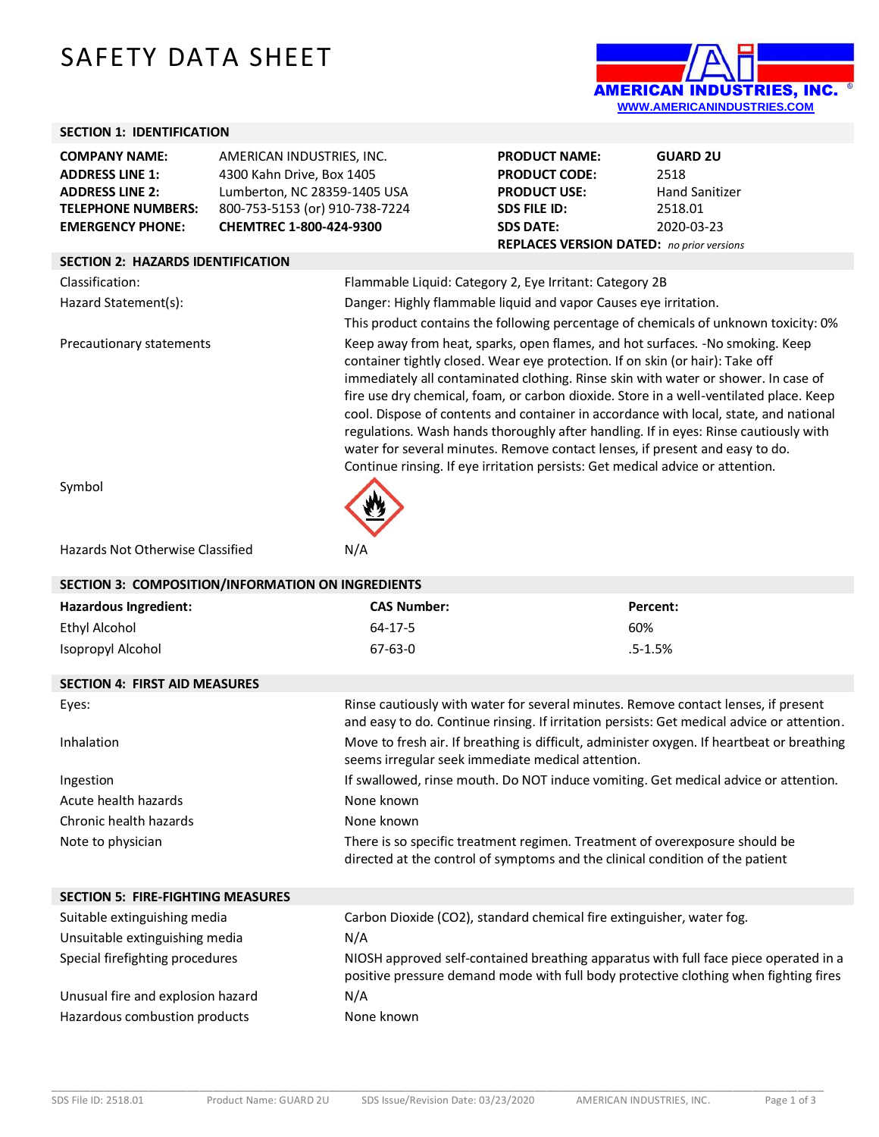# SAFETY DATA SHEET



## **SECTION 1: IDENTIFICATION**

| <b>COMPANY NAME:</b>      | AMERICAN INDUSTRIES, INC.      |
|---------------------------|--------------------------------|
| <b>ADDRESS LINE 1:</b>    | 4300 Kahn Drive, Box 1405      |
| <b>ADDRESS LINE 2:</b>    | Lumberton, NC 28359-1405 USA   |
| <b>TELEPHONE NUMBERS:</b> | 800-753-5153 (or) 910-738-7224 |
| <b>EMERGENCY PHONE:</b>   | CHEMTREC 1-800-424-9300        |

| <b>PRODUCT NAME:</b>                             | <b>GUARD 2U</b>       |
|--------------------------------------------------|-----------------------|
| <b>PRODUCT CODE:</b>                             | 2518                  |
| <b>PRODUCT USE:</b>                              | <b>Hand Sanitizer</b> |
| <b>SDS FILE ID:</b>                              | 2518.01               |
| <b>SDS DATE:</b>                                 | 2020-03-23            |
| <b>REPLACES VERSION DATED:</b> no prior versions |                       |

# **SECTION 2: HAZARDS IDENTIFICATION**

| Classification:          | Flammable Liquid: Category 2, Eye Irritant: Category 2B                                                                                                                                                                                                                                                                                                                                                                                                                                                                                                                                                                                                                                           |
|--------------------------|---------------------------------------------------------------------------------------------------------------------------------------------------------------------------------------------------------------------------------------------------------------------------------------------------------------------------------------------------------------------------------------------------------------------------------------------------------------------------------------------------------------------------------------------------------------------------------------------------------------------------------------------------------------------------------------------------|
| Hazard Statement(s):     | Danger: Highly flammable liquid and vapor Causes eye irritation.                                                                                                                                                                                                                                                                                                                                                                                                                                                                                                                                                                                                                                  |
|                          | This product contains the following percentage of chemicals of unknown toxicity: 0%                                                                                                                                                                                                                                                                                                                                                                                                                                                                                                                                                                                                               |
| Precautionary statements | Keep away from heat, sparks, open flames, and hot surfaces. -No smoking. Keep<br>container tightly closed. Wear eye protection. If on skin (or hair): Take off<br>immediately all contaminated clothing. Rinse skin with water or shower. In case of<br>fire use dry chemical, foam, or carbon dioxide. Store in a well-ventilated place. Keep<br>cool. Dispose of contents and container in accordance with local, state, and national<br>regulations. Wash hands thoroughly after handling. If in eyes: Rinse cautiously with<br>water for several minutes. Remove contact lenses, if present and easy to do.<br>Continue rinsing. If eye irritation persists: Get medical advice or attention. |
| Symbol                   |                                                                                                                                                                                                                                                                                                                                                                                                                                                                                                                                                                                                                                                                                                   |

S<sub>1</sub>

#### Hazards Not Otherwise Classified N/A

| SECTION 3: COMPOSITION/INFORMATION ON INGREDIENTS |                                                                                                                                                                                  |             |  |  |
|---------------------------------------------------|----------------------------------------------------------------------------------------------------------------------------------------------------------------------------------|-------------|--|--|
| <b>Hazardous Ingredient:</b>                      | <b>CAS Number:</b>                                                                                                                                                               | Percent:    |  |  |
| Ethyl Alcohol                                     | $64 - 17 - 5$                                                                                                                                                                    | 60%         |  |  |
| Isopropyl Alcohol                                 | $67 - 63 - 0$                                                                                                                                                                    | $.5 - 1.5%$ |  |  |
| <b>SECTION 4: FIRST AID MEASURES</b>              |                                                                                                                                                                                  |             |  |  |
| Eyes:                                             | Rinse cautiously with water for several minutes. Remove contact lenses, if present<br>and easy to do. Continue rinsing. If irritation persists: Get medical advice or attention. |             |  |  |
| Inhalation                                        | Move to fresh air. If breathing is difficult, administer oxygen. If heartbeat or breathing<br>seems irregular seek immediate medical attention.                                  |             |  |  |
| Ingestion                                         | If swallowed, rinse mouth. Do NOT induce vomiting. Get medical advice or attention.                                                                                              |             |  |  |
| Acute health hazards                              | None known                                                                                                                                                                       |             |  |  |
| Chronic health hazards                            | None known                                                                                                                                                                       |             |  |  |
| Note to physician                                 | There is so specific treatment regimen. Treatment of overexposure should be<br>directed at the control of symptoms and the clinical condition of the patient                     |             |  |  |
| <b>SECTION 5: FIRE-FIGHTING MEASURES</b>          |                                                                                                                                                                                  |             |  |  |
| Suitable extinguishing media                      | Carbon Dioxide (CO2), standard chemical fire extinguisher, water fog.                                                                                                            |             |  |  |
| Unsuitable extinguishing media                    | N/A                                                                                                                                                                              |             |  |  |
| Special firefighting procedures                   | NIOSH approved self-contained breathing apparatus with full face piece operated in a<br>positive pressure demand mode with full body protective clothing when fighting fires     |             |  |  |
| Unusual fire and explosion hazard                 | N/A                                                                                                                                                                              |             |  |  |
| Hazardous combustion products                     | None known                                                                                                                                                                       |             |  |  |

\_\_\_\_\_\_\_\_\_\_\_\_\_\_\_\_\_\_\_\_\_\_\_\_\_\_\_\_\_\_\_\_\_\_\_\_\_\_\_\_\_\_\_\_\_\_\_\_\_\_\_\_\_\_\_\_\_\_\_\_\_\_\_\_\_\_\_\_\_\_\_\_\_\_\_\_\_\_\_\_\_\_\_\_\_\_\_\_\_\_\_\_\_\_\_\_\_\_\_\_\_\_\_\_\_\_\_\_\_\_\_\_\_\_\_\_\_\_\_\_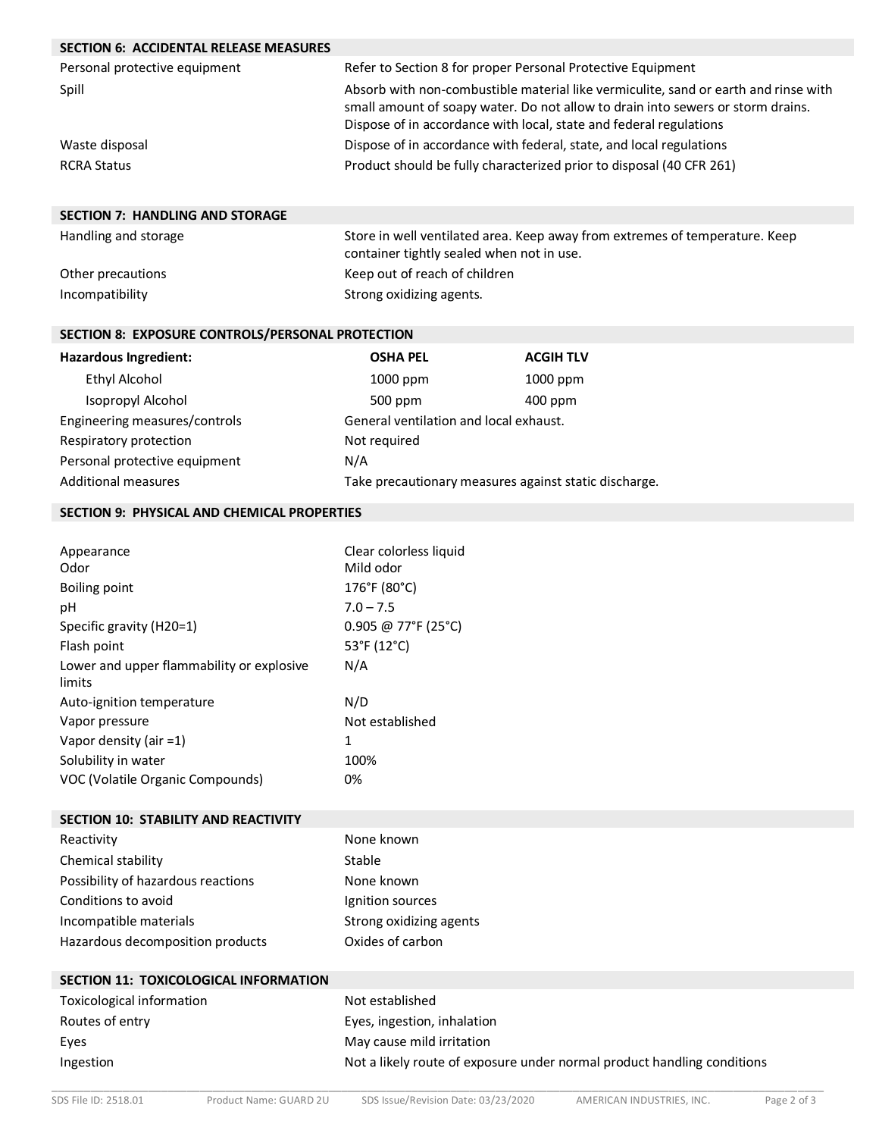| <b>SECTION 6: ACCIDENTAL RELEASE MEASURES</b>       |                                                                                     |                                                                         |  |
|-----------------------------------------------------|-------------------------------------------------------------------------------------|-------------------------------------------------------------------------|--|
| Personal protective equipment                       |                                                                                     | Refer to Section 8 for proper Personal Protective Equipment             |  |
| Spill                                               | Absorb with non-combustible material like vermiculite, sand or earth and rinse with |                                                                         |  |
|                                                     | small amount of soapy water. Do not allow to drain into sewers or storm drains.     |                                                                         |  |
|                                                     |                                                                                     | Dispose of in accordance with local, state and federal regulations      |  |
| Waste disposal                                      |                                                                                     | Dispose of in accordance with federal, state, and local regulations     |  |
| <b>RCRA Status</b>                                  |                                                                                     | Product should be fully characterized prior to disposal (40 CFR 261)    |  |
|                                                     |                                                                                     |                                                                         |  |
| <b>SECTION 7: HANDLING AND STORAGE</b>              |                                                                                     |                                                                         |  |
| Handling and storage                                | Store in well ventilated area. Keep away from extremes of temperature. Keep         |                                                                         |  |
|                                                     | container tightly sealed when not in use.                                           |                                                                         |  |
| Other precautions                                   | Keep out of reach of children                                                       |                                                                         |  |
| Incompatibility                                     | Strong oxidizing agents.                                                            |                                                                         |  |
|                                                     |                                                                                     |                                                                         |  |
| SECTION 8: EXPOSURE CONTROLS/PERSONAL PROTECTION    |                                                                                     |                                                                         |  |
| Hazardous Ingredient:                               | <b>OSHA PEL</b>                                                                     | <b>ACGIH TLV</b>                                                        |  |
| <b>Ethyl Alcohol</b>                                | 1000 ppm                                                                            | 1000 ppm                                                                |  |
| Isopropyl Alcohol                                   | 500 ppm                                                                             | 400 ppm                                                                 |  |
| Engineering measures/controls                       | General ventilation and local exhaust.                                              |                                                                         |  |
| Respiratory protection                              | Not required                                                                        |                                                                         |  |
| Personal protective equipment                       | N/A                                                                                 |                                                                         |  |
| <b>Additional measures</b>                          | Take precautionary measures against static discharge.                               |                                                                         |  |
| <b>SECTION 9: PHYSICAL AND CHEMICAL PROPERTIES</b>  |                                                                                     |                                                                         |  |
|                                                     |                                                                                     |                                                                         |  |
| Appearance                                          | Clear colorless liquid                                                              |                                                                         |  |
| Odor                                                | Mild odor                                                                           |                                                                         |  |
| <b>Boiling point</b>                                | 176°F (80°C)                                                                        |                                                                         |  |
| pH                                                  | $7.0 - 7.5$                                                                         |                                                                         |  |
| Specific gravity (H20=1)                            | 0.905 @ 77°F (25°C)                                                                 |                                                                         |  |
| Flash point                                         | 53°F (12°C)                                                                         |                                                                         |  |
| Lower and upper flammability or explosive<br>limits | N/A                                                                                 |                                                                         |  |
| Auto-ignition temperature                           | N/D                                                                                 |                                                                         |  |
| Vapor pressure                                      | Not established                                                                     |                                                                         |  |
| Vapor density (air =1)                              | 1                                                                                   |                                                                         |  |
| Solubility in water                                 | 100%                                                                                |                                                                         |  |
| VOC (Volatile Organic Compounds)                    | 0%                                                                                  |                                                                         |  |
| <b>SECTION 10: STABILITY AND REACTIVITY</b>         |                                                                                     |                                                                         |  |
| Reactivity                                          | None known                                                                          |                                                                         |  |
| Chemical stability                                  | Stable                                                                              |                                                                         |  |
| Possibility of hazardous reactions                  | None known                                                                          |                                                                         |  |
| Conditions to avoid                                 | Ignition sources                                                                    |                                                                         |  |
| Incompatible materials                              | Strong oxidizing agents                                                             |                                                                         |  |
| Hazardous decomposition products                    | Oxides of carbon                                                                    |                                                                         |  |
|                                                     |                                                                                     |                                                                         |  |
| SECTION 11: TOXICOLOGICAL INFORMATION               |                                                                                     |                                                                         |  |
| Toxicological information                           | Not established                                                                     |                                                                         |  |
| Routes of entry                                     | Eyes, ingestion, inhalation                                                         |                                                                         |  |
| Eyes                                                | May cause mild irritation                                                           |                                                                         |  |
| Ingestion                                           |                                                                                     | Not a likely route of exposure under normal product handling conditions |  |
|                                                     |                                                                                     |                                                                         |  |